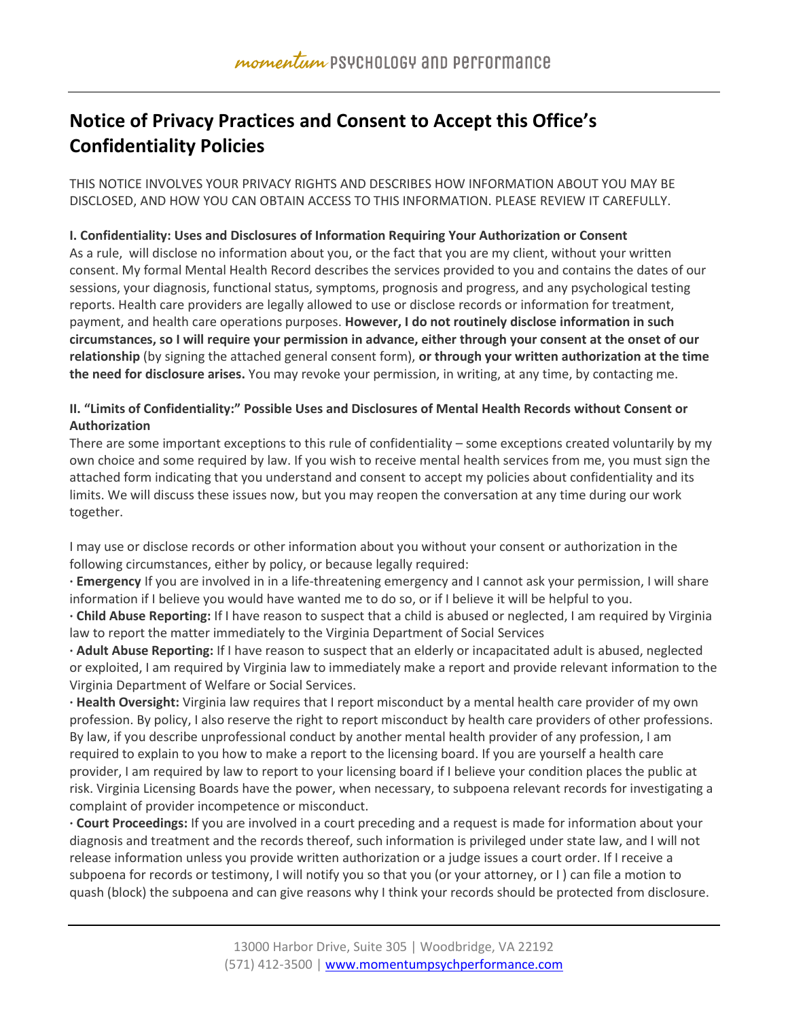## **Notice of Privacy Practices and Consent to Accept this Office's Confidentiality Policies**

THIS NOTICE INVOLVES YOUR PRIVACY RIGHTS AND DESCRIBES HOW INFORMATION ABOUT YOU MAY BE DISCLOSED, AND HOW YOU CAN OBTAIN ACCESS TO THIS INFORMATION. PLEASE REVIEW IT CAREFULLY.

## **I. Confidentiality: Uses and Disclosures of Information Requiring Your Authorization or Consent**

As a rule, will disclose no information about you, or the fact that you are my client, without your written consent. My formal Mental Health Record describes the services provided to you and contains the dates of our sessions, your diagnosis, functional status, symptoms, prognosis and progress, and any psychological testing reports. Health care providers are legally allowed to use or disclose records or information for treatment, payment, and health care operations purposes. **However, I do not routinely disclose information in such circumstances, so I will require your permission in advance, either through your consent at the onset of our relationship** (by signing the attached general consent form), **or through your written authorization at the time the need for disclosure arises.** You may revoke your permission, in writing, at any time, by contacting me.

## **II. "Limits of Confidentiality:" Possible Uses and Disclosures of Mental Health Records without Consent or Authorization**

There are some important exceptions to this rule of confidentiality – some exceptions created voluntarily by my own choice and some required by law. If you wish to receive mental health services from me, you must sign the attached form indicating that you understand and consent to accept my policies about confidentiality and its limits. We will discuss these issues now, but you may reopen the conversation at any time during our work together.

I may use or disclose records or other information about you without your consent or authorization in the following circumstances, either by policy, or because legally required:

**· Emergency** If you are involved in in a life-threatening emergency and I cannot ask your permission, I will share information if I believe you would have wanted me to do so, or if I believe it will be helpful to you.

**· Child Abuse Reporting:** If I have reason to suspect that a child is abused or neglected, I am required by Virginia law to report the matter immediately to the Virginia Department of Social Services

**· Adult Abuse Reporting:** If I have reason to suspect that an elderly or incapacitated adult is abused, neglected or exploited, I am required by Virginia law to immediately make a report and provide relevant information to the Virginia Department of Welfare or Social Services.

**· Health Oversight:** Virginia law requires that I report misconduct by a mental health care provider of my own profession. By policy, I also reserve the right to report misconduct by health care providers of other professions. By law, if you describe unprofessional conduct by another mental health provider of any profession, I am required to explain to you how to make a report to the licensing board. If you are yourself a health care provider, I am required by law to report to your licensing board if I believe your condition places the public at risk. Virginia Licensing Boards have the power, when necessary, to subpoena relevant records for investigating a complaint of provider incompetence or misconduct.

**· Court Proceedings:** If you are involved in a court preceding and a request is made for information about your diagnosis and treatment and the records thereof, such information is privileged under state law, and I will not release information unless you provide written authorization or a judge issues a court order. If I receive a subpoena for records or testimony, I will notify you so that you (or your attorney, or I ) can file a motion to quash (block) the subpoena and can give reasons why I think your records should be protected from disclosure.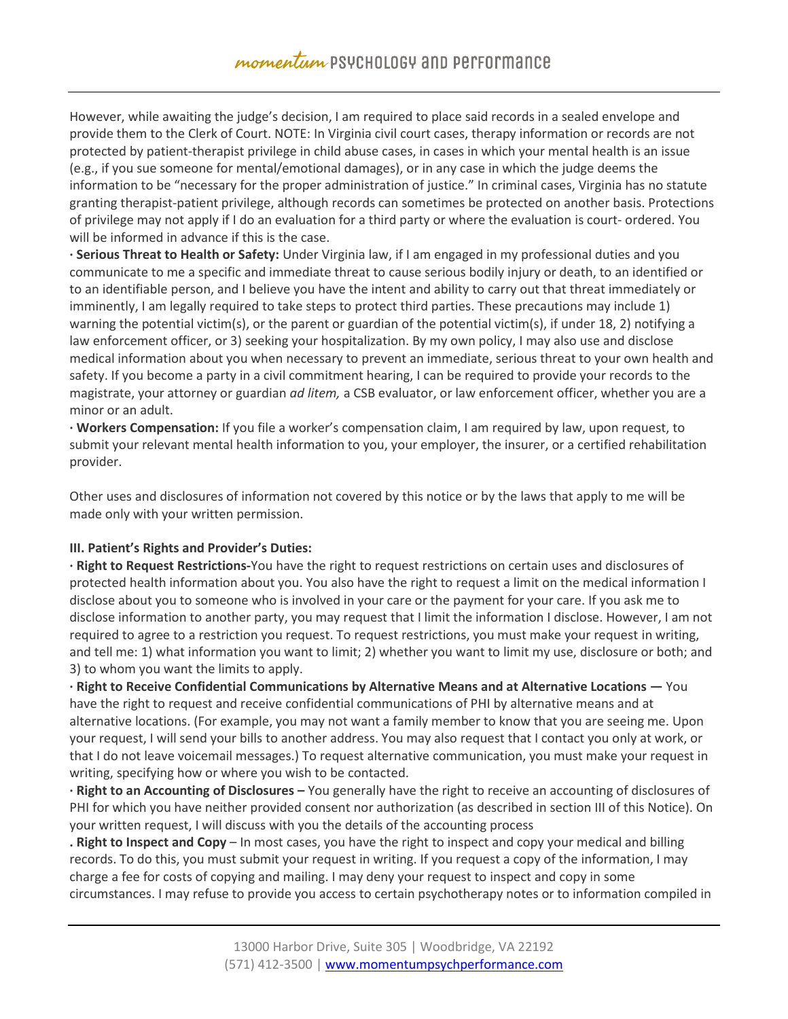However, while awaiting the judge's decision, I am required to place said records in a sealed envelope and provide them to the Clerk of Court. NOTE: In Virginia civil court cases, therapy information or records are not protected by patient-therapist privilege in child abuse cases, in cases in which your mental health is an issue (e.g., if you sue someone for mental/emotional damages), or in any case in which the judge deems the information to be "necessary for the proper administration of justice." In criminal cases, Virginia has no statute granting therapist-patient privilege, although records can sometimes be protected on another basis. Protections of privilege may not apply if I do an evaluation for a third party or where the evaluation is court- ordered. You will be informed in advance if this is the case.

**· Serious Threat to Health or Safety:** Under Virginia law, if I am engaged in my professional duties and you communicate to me a specific and immediate threat to cause serious bodily injury or death, to an identified or to an identifiable person, and I believe you have the intent and ability to carry out that threat immediately or imminently, I am legally required to take steps to protect third parties. These precautions may include 1) warning the potential victim(s), or the parent or guardian of the potential victim(s), if under 18, 2) notifying a law enforcement officer, or 3) seeking your hospitalization. By my own policy, I may also use and disclose medical information about you when necessary to prevent an immediate, serious threat to your own health and safety. If you become a party in a civil commitment hearing, I can be required to provide your records to the magistrate, your attorney or guardian *ad litem,* a CSB evaluator, or law enforcement officer, whether you are a minor or an adult.

**· Workers Compensation:** If you file a worker's compensation claim, I am required by law, upon request, to submit your relevant mental health information to you, your employer, the insurer, or a certified rehabilitation provider.

Other uses and disclosures of information not covered by this notice or by the laws that apply to me will be made only with your written permission.

## **III. Patient's Rights and Provider's Duties:**

**· Right to Request Restrictions-**You have the right to request restrictions on certain uses and disclosures of protected health information about you. You also have the right to request a limit on the medical information I disclose about you to someone who is involved in your care or the payment for your care. If you ask me to disclose information to another party, you may request that I limit the information I disclose. However, I am not required to agree to a restriction you request. To request restrictions, you must make your request in writing, and tell me: 1) what information you want to limit; 2) whether you want to limit my use, disclosure or both; and 3) to whom you want the limits to apply.

**· Right to Receive Confidential Communications by Alternative Means and at Alternative Locations —** You have the right to request and receive confidential communications of PHI by alternative means and at alternative locations. (For example, you may not want a family member to know that you are seeing me. Upon your request, I will send your bills to another address. You may also request that I contact you only at work, or that I do not leave voicemail messages.) To request alternative communication, you must make your request in writing, specifying how or where you wish to be contacted.

**· Right to an Accounting of Disclosures –** You generally have the right to receive an accounting of disclosures of PHI for which you have neither provided consent nor authorization (as described in section III of this Notice). On your written request, I will discuss with you the details of the accounting process

**. Right to Inspect and Copy** – In most cases, you have the right to inspect and copy your medical and billing records. To do this, you must submit your request in writing. If you request a copy of the information, I may charge a fee for costs of copying and mailing. I may deny your request to inspect and copy in some circumstances. I may refuse to provide you access to certain psychotherapy notes or to information compiled in